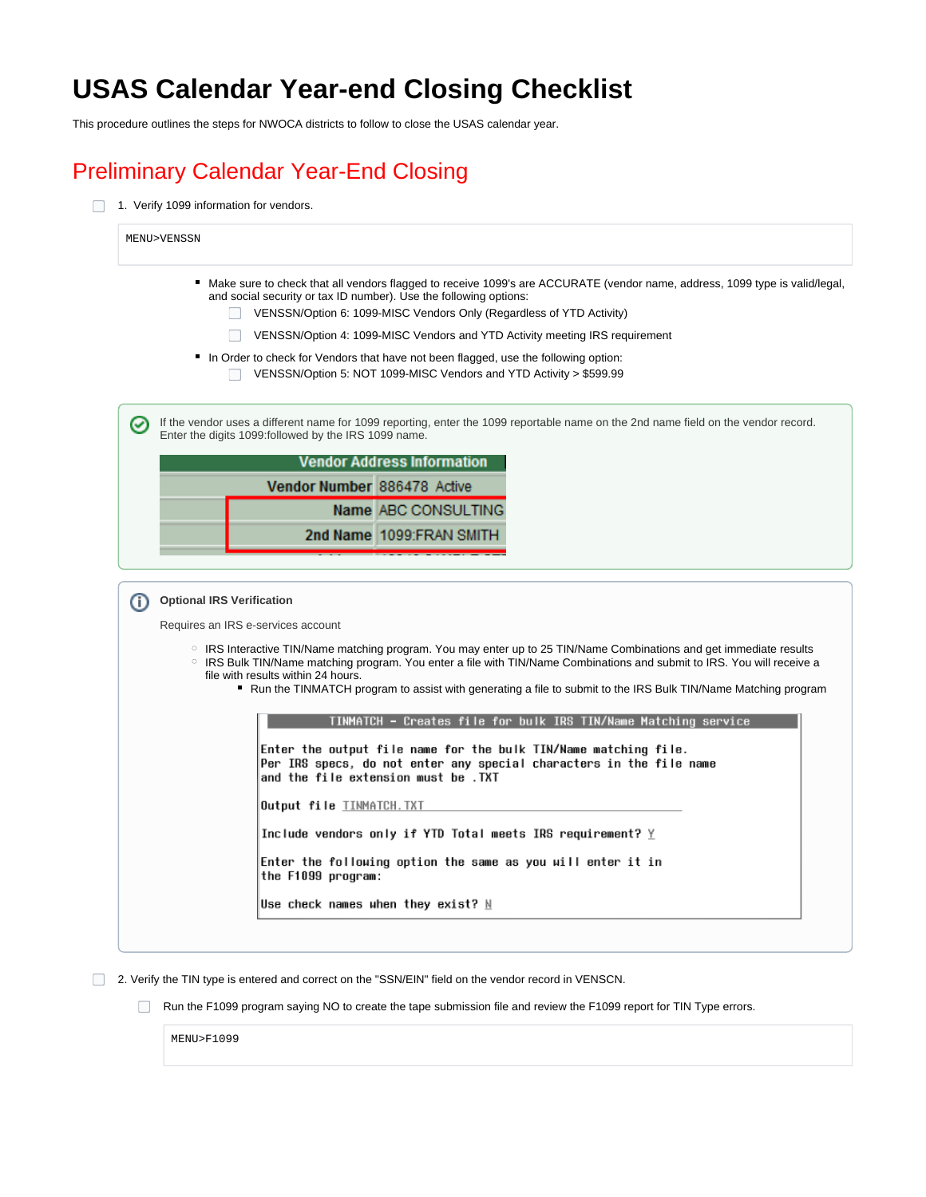## **USAS Calendar Year-end Closing Checklist**

This procedure outlines the steps for NWOCA districts to follow to close the USAS calendar year.

#### Preliminary Calendar Year-End Closing

1. Verify 1099 information for vendors.

| and social security or tax ID number). Use the following options:                                                 | ■ Make sure to check that all vendors flagged to receive 1099's are ACCURATE (vendor name, address, 1099 type is valid/legal,<br>VENSSN/Option 6: 1099-MISC Vendors Only (Regardless of YTD Activity)                                                                                                                                                                   |
|-------------------------------------------------------------------------------------------------------------------|-------------------------------------------------------------------------------------------------------------------------------------------------------------------------------------------------------------------------------------------------------------------------------------------------------------------------------------------------------------------------|
|                                                                                                                   | VENSSN/Option 4: 1099-MISC Vendors and YTD Activity meeting IRS requirement                                                                                                                                                                                                                                                                                             |
|                                                                                                                   | ■ In Order to check for Vendors that have not been flagged, use the following option:<br>VENSSN/Option 5: NOT 1099-MISC Vendors and YTD Activity > \$599.99                                                                                                                                                                                                             |
| ☑<br>Enter the digits 1099: followed by the IRS 1099 name.                                                        | If the vendor uses a different name for 1099 reporting, enter the 1099 reportable name on the 2nd name field on the vendor record.                                                                                                                                                                                                                                      |
|                                                                                                                   | <b>Vendor Address Information</b>                                                                                                                                                                                                                                                                                                                                       |
| Vendor Number 886478 Active                                                                                       |                                                                                                                                                                                                                                                                                                                                                                         |
|                                                                                                                   | Name ABC CONSULTING                                                                                                                                                                                                                                                                                                                                                     |
|                                                                                                                   | 2nd Name 1099:FRAN SMITH                                                                                                                                                                                                                                                                                                                                                |
| <b>Optional IRS Verification</b><br>⋒<br>Requires an IRS e-services account<br>file with results within 24 hours. | $\circ$ IRS Interactive TIN/Name matching program. You may enter up to 25 TIN/Name Combinations and get immediate results<br>○ IRS Bulk TIN/Name matching program. You enter a file with TIN/Name Combinations and submit to IRS. You will receive a<br>■ Run the TINMATCH program to assist with generating a file to submit to the IRS Bulk TIN/Name Matching program |
|                                                                                                                   | TINMATCH - Creates file for bulk IRS TIN/Name Matching service                                                                                                                                                                                                                                                                                                          |
|                                                                                                                   | Enter the output file name for the bulk TIN/Name matching file.<br>Per IRS specs, do not enter any special characters in the file name<br>and the file extension must be .TXT                                                                                                                                                                                           |
| Output file <u>TINMATCH.TXT</u>                                                                                   |                                                                                                                                                                                                                                                                                                                                                                         |
|                                                                                                                   | Include vendors only if YTD Total meets IRS requirement? $\underline{Y}$                                                                                                                                                                                                                                                                                                |
|                                                                                                                   | Enter the following option the same as you will enter it in                                                                                                                                                                                                                                                                                                             |
| the F1099 program:                                                                                                |                                                                                                                                                                                                                                                                                                                                                                         |

2. Verify the TIN type is entered and correct on the "SSN/EIN" field on the vendor record in VENSCN.

Run the F1099 program saying NO to create the tape submission file and review the F1099 report for TIN Type errors.

MENU>F1099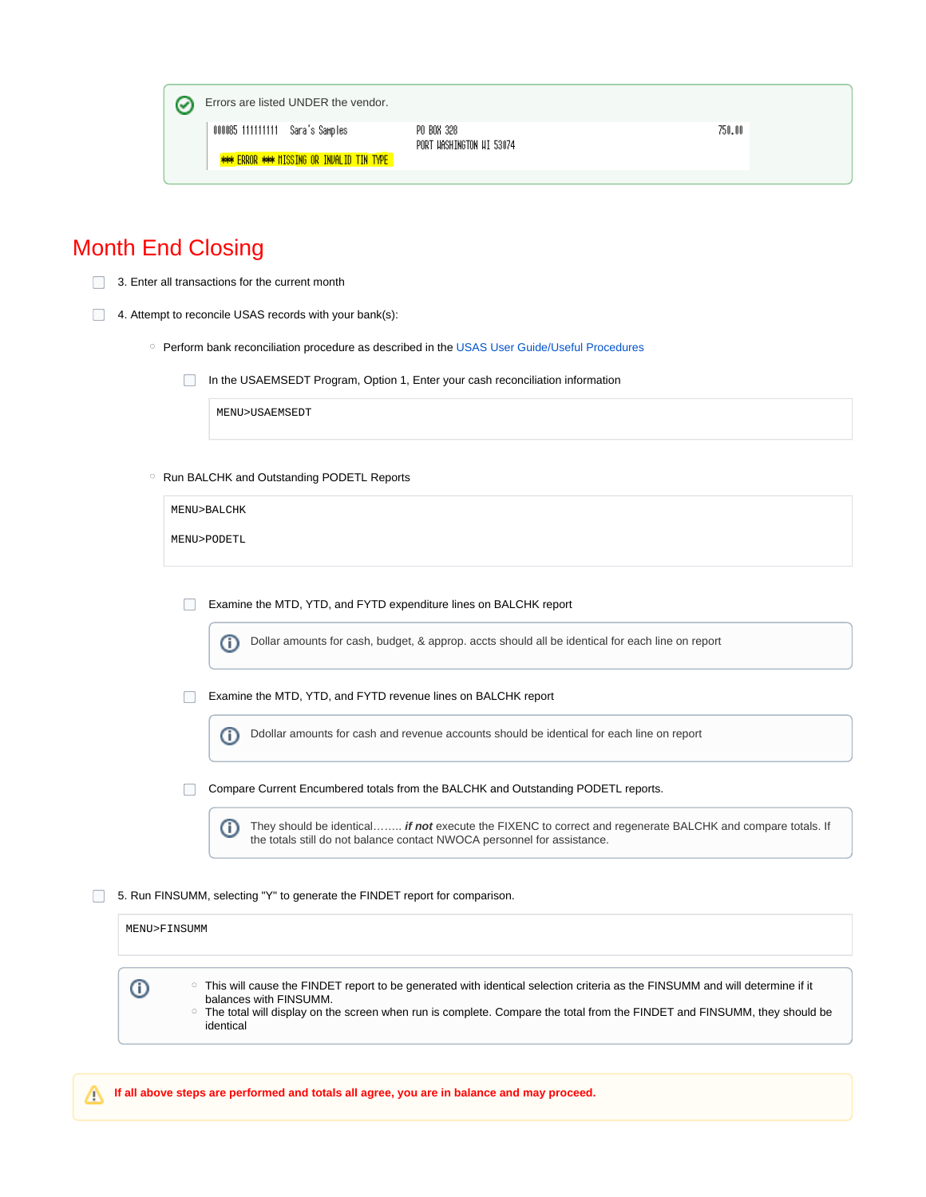

#### Month End Closing

3. Enter all transactions for the current month

- 4. Attempt to reconcile USAS records with your bank(s):
	- o Perform bank reconciliation procedure as described in the [USAS User Guide/Useful Procedures](https://wiki.ssdt-ohio.org/x/-AQZ)
		- $\Box$ In the USAEMSEDT Program, Option 1, Enter your cash reconciliation information

MENU>USAEMSEDT

o Run BALCHK and Outstanding PODETL Reports

| MENU>BALCHK |  |  |
|-------------|--|--|
| MENU>PODETL |  |  |
|             |  |  |
|             |  |  |

 $\Box$ Examine the MTD, YTD, and FYTD expenditure lines on BALCHK report

> Dollar amounts for cash, budget, & approp. accts should all be identical for each line on report ⋒

Examine the MTD, YTD, and FYTD revenue lines on BALCHK report

Ddollar amounts for cash and revenue accounts should be identical for each line on report O)

 $\Box$ Compare Current Encumbered totals from the BALCHK and Outstanding PODETL reports.

0 They should be identical…….. **if not** execute the FIXENC to correct and regenerate BALCHK and compare totals. If the totals still do not balance contact NWOCA personnel for assistance.

5. Run FINSUMM, selecting "Y" to generate the FINDET report for comparison.

| MENU>FINSUMM                                                                                                                                                                                                                                                                                       |
|----------------------------------------------------------------------------------------------------------------------------------------------------------------------------------------------------------------------------------------------------------------------------------------------------|
| ○ This will cause the FINDET report to be generated with identical selection criteria as the FINSUMM and will determine if it<br>balances with FINSUMM.<br>○ The total will display on the screen when run is complete. Compare the total from the FINDET and FINSUMM, they should be<br>identical |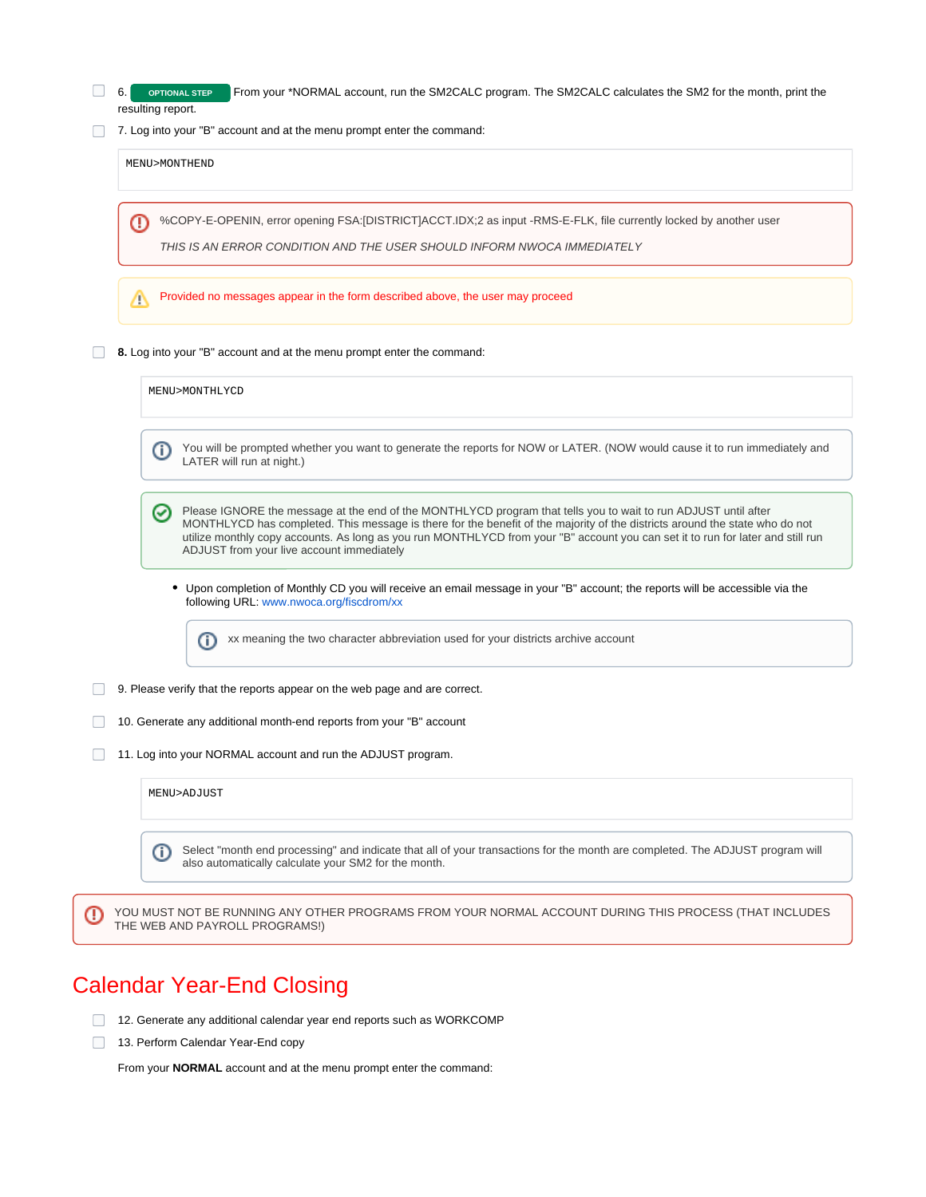|   | 7. Log into your "B" account and at the menu prompt enter the command:                                                                                                                                                                                                                                                                                                                                                             |
|---|------------------------------------------------------------------------------------------------------------------------------------------------------------------------------------------------------------------------------------------------------------------------------------------------------------------------------------------------------------------------------------------------------------------------------------|
|   | MENU>MONTHEND                                                                                                                                                                                                                                                                                                                                                                                                                      |
| ⊕ | %COPY-E-OPENIN, error opening FSA:[DISTRICT]ACCT.IDX;2 as input -RMS-E-FLK, file currently locked by another user<br>THIS IS AN ERROR CONDITION AND THE USER SHOULD INFORM NWOCA IMMEDIATELY                                                                                                                                                                                                                                       |
| Λ | Provided no messages appear in the form described above, the user may proceed                                                                                                                                                                                                                                                                                                                                                      |
|   | 8. Log into your "B" account and at the menu prompt enter the command:                                                                                                                                                                                                                                                                                                                                                             |
|   | MENU>MONTHLYCD                                                                                                                                                                                                                                                                                                                                                                                                                     |
|   | You will be prompted whether you want to generate the reports for NOW or LATER. (NOW would cause it to run immediately and<br>O)<br>LATER will run at night.)                                                                                                                                                                                                                                                                      |
|   | Please IGNORE the message at the end of the MONTHLYCD program that tells you to wait to run ADJUST until after<br>⊘<br>MONTHLYCD has completed. This message is there for the benefit of the majority of the districts around the state who do not<br>utilize monthly copy accounts. As long as you run MONTHLYCD from your "B" account you can set it to run for later and still run<br>ADJUST from your live account immediately |
|   | • Upon completion of Monthly CD you will receive an email message in your "B" account; the reports will be accessible via the<br>following URL: www.nwoca.org/fiscdrom/xx                                                                                                                                                                                                                                                          |
|   | xx meaning the two character abbreviation used for your districts archive account<br>O                                                                                                                                                                                                                                                                                                                                             |
|   | 9. Please verify that the reports appear on the web page and are correct.                                                                                                                                                                                                                                                                                                                                                          |
|   | 10. Generate any additional month-end reports from your "B" account                                                                                                                                                                                                                                                                                                                                                                |
|   | 11. Log into your NORMAL account and run the ADJUST program.                                                                                                                                                                                                                                                                                                                                                                       |
|   | MENU>ADJUST                                                                                                                                                                                                                                                                                                                                                                                                                        |
|   | Select "month end processing" and indicate that all of your transactions for the month are completed. The ADJUST program will                                                                                                                                                                                                                                                                                                      |

### Calendar Year-End Closing

- 12. Generate any additional calendar year end reports such as WORKCOMP
- 13. Perform Calendar Year-End copy

From your **NORMAL** account and at the menu prompt enter the command: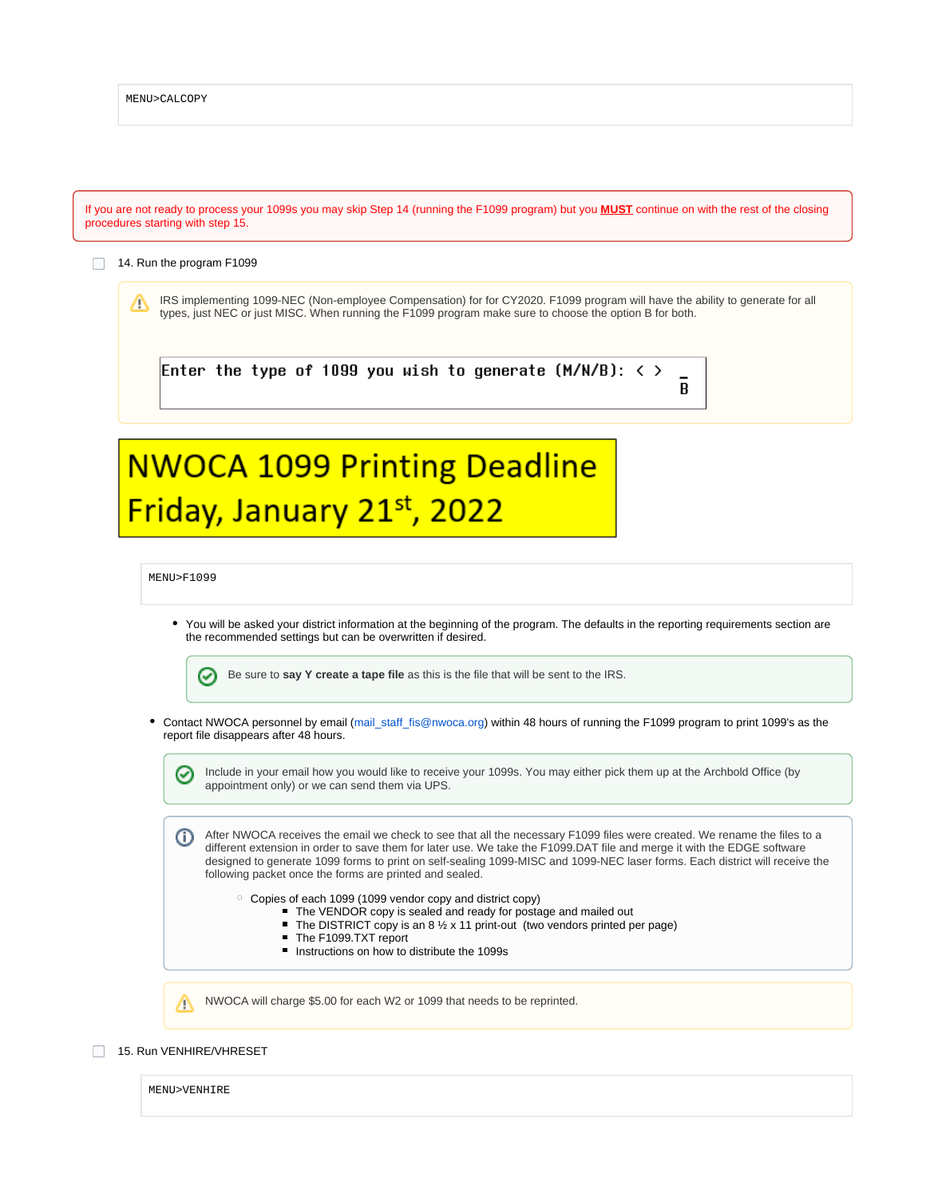|   | 14. Run the program F1099                                                                                                                                                                                                                                                                                                                                                                                                                          |
|---|----------------------------------------------------------------------------------------------------------------------------------------------------------------------------------------------------------------------------------------------------------------------------------------------------------------------------------------------------------------------------------------------------------------------------------------------------|
| Δ | IRS implementing 1099-NEC (Non-employee Compensation) for for CY2020. F1099 program will have the ability to generate for all<br>types, just NEC or just MISC. When running the F1099 program make sure to choose the option B for both.                                                                                                                                                                                                           |
|   | Enter the type of 1099 you wish to generate (M/N/B): $\langle \rangle$<br>B                                                                                                                                                                                                                                                                                                                                                                        |
|   | <b>NWOCA 1099 Printing Deadline</b>                                                                                                                                                                                                                                                                                                                                                                                                                |
|   | Friday, January 21st, 2022                                                                                                                                                                                                                                                                                                                                                                                                                         |
|   | MENU>F1099                                                                                                                                                                                                                                                                                                                                                                                                                                         |
|   | • You will be asked your district information at the beginning of the program. The defaults in the reporting requirements section are                                                                                                                                                                                                                                                                                                              |
|   | the recommended settings but can be overwritten if desired.<br>Be sure to say Y create a tape file as this is the file that will be sent to the IRS.                                                                                                                                                                                                                                                                                               |
|   | $\bm{\omega}$<br>report file disappears after 48 hours.                                                                                                                                                                                                                                                                                                                                                                                            |
|   | • Contact NWOCA personnel by email (mail_staff_fis@nwoca.org) within 48 hours of running the F1099 program to print 1099's as the<br>Include in your email how you would like to receive your 1099s. You may either pick them up at the Archbold Office (by<br>☑<br>appointment only) or we can send them via UPS.                                                                                                                                 |
|   | After NWOCA receives the email we check to see that all the necessary F1099 files were created. We rename the files to a<br>⋔<br>different extension in order to save them for later use. We take the F1099.DAT file and merge it with the EDGE software<br>designed to generate 1099 forms to print on self-sealing 1099-MISC and 1099-NEC laser forms. Each district will receive the<br>following packet once the forms are printed and sealed. |
|   | $\circ$ Copies of each 1099 (1099 vendor copy and district copy)<br>• The VENDOR copy is sealed and ready for postage and mailed out<br>The DISTRICT copy is an 8 $\frac{1}{2}$ x 11 print-out (two vendors printed per page)<br>The F1099.TXT report<br>Instructions on how to distribute the 1099s                                                                                                                                               |

MENU>VENHIRE

 $\odot$